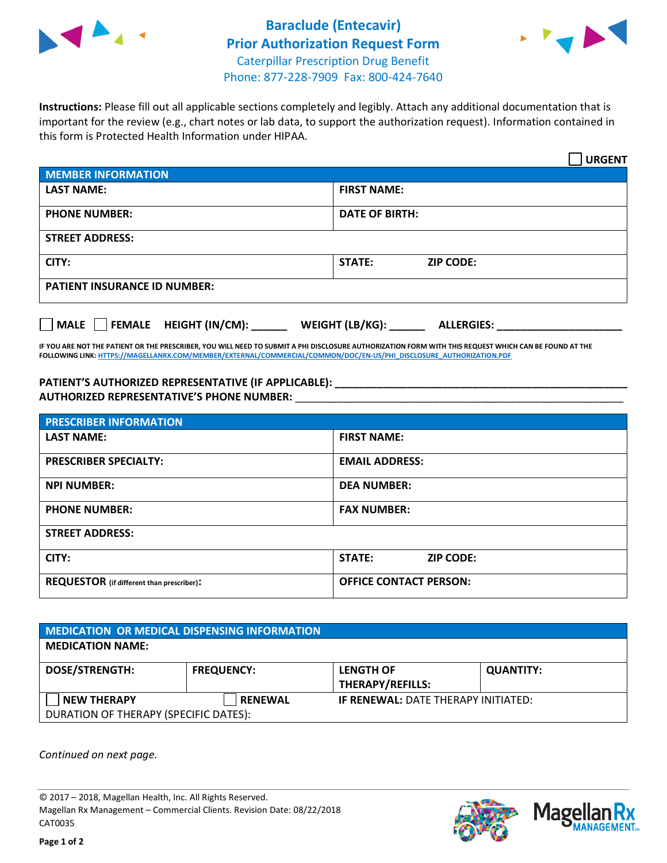



**Instructions:** Please fill out all applicable sections completely and legibly. Attach any additional documentation that is important for the review (e.g., chart notes or lab data, to support the authorization request). Information contained in this form is Protected Health Information under HIPAA.

|                                                              | <b>URGENT</b>                        |  |  |  |
|--------------------------------------------------------------|--------------------------------------|--|--|--|
| <b>MEMBER INFORMATION</b>                                    |                                      |  |  |  |
| <b>LAST NAME:</b>                                            | <b>FIRST NAME:</b>                   |  |  |  |
| <b>PHONE NUMBER:</b>                                         | <b>DATE OF BIRTH:</b>                |  |  |  |
| <b>STREET ADDRESS:</b>                                       |                                      |  |  |  |
| CITY:                                                        | <b>ZIP CODE:</b><br>STATE:           |  |  |  |
| <b>PATIENT INSURANCE ID NUMBER:</b>                          |                                      |  |  |  |
| FEMALE HEIGHT (IN/CM):<br>$\blacksquare$ MALE $\blacksquare$ | WEIGHT (LB/KG):<br><b>ALLERGIES:</b> |  |  |  |

**IF YOU ARE NOT THE PATIENT OR THE PRESCRIBER, YOU WILL NEED TO SUBMIT A PHI DISCLOSURE AUTHORIZATION FORM WITH THIS REQUEST WHICH CAN BE FOUND AT THE FOLLOWING LINK[: HTTPS://MAGELLANRX.COM/MEMBER/EXTERNAL/COMMERCIAL/COMMON/DOC/EN-US/PHI\\_DISCLOSURE\\_AUTHORIZATION.PDF](https://magellanrx.com/member/external/commercial/common/doc/en-us/PHI_Disclosure_Authorization.pdf)**

**PATIENT'S AUTHORIZED REPRESENTATIVE (IF APPLICABLE): \_\_\_\_\_\_\_\_\_\_\_\_\_\_\_\_\_\_\_\_\_\_\_\_\_\_\_\_\_\_\_\_\_\_\_\_\_\_\_\_\_\_\_\_\_\_\_\_\_ AUTHORIZED REPRESENTATIVE'S PHONE NUMBER:** \_\_\_\_\_\_\_\_\_\_\_\_\_\_\_\_\_\_\_\_\_\_\_\_\_\_\_\_\_\_\_\_\_\_\_\_\_\_\_\_\_\_\_\_\_\_\_\_\_\_\_\_\_\_\_

| <b>PRESCRIBER INFORMATION</b>             |                               |  |  |  |
|-------------------------------------------|-------------------------------|--|--|--|
| <b>LAST NAME:</b>                         | <b>FIRST NAME:</b>            |  |  |  |
| <b>PRESCRIBER SPECIALTY:</b>              | <b>EMAIL ADDRESS:</b>         |  |  |  |
| <b>NPI NUMBER:</b>                        | <b>DEA NUMBER:</b>            |  |  |  |
| <b>PHONE NUMBER:</b>                      | <b>FAX NUMBER:</b>            |  |  |  |
| <b>STREET ADDRESS:</b>                    |                               |  |  |  |
| CITY:                                     | STATE:<br><b>ZIP CODE:</b>    |  |  |  |
| REQUESTOR (if different than prescriber): | <b>OFFICE CONTACT PERSON:</b> |  |  |  |

| <b>MEDICATION OR MEDICAL DISPENSING INFORMATION</b>         |                   |                                             |                  |  |  |
|-------------------------------------------------------------|-------------------|---------------------------------------------|------------------|--|--|
| <b>MEDICATION NAME:</b>                                     |                   |                                             |                  |  |  |
| <b>DOSE/STRENGTH:</b>                                       | <b>FREQUENCY:</b> | <b>LENGTH OF</b><br><b>THERAPY/REFILLS:</b> | <b>QUANTITY:</b> |  |  |
| <b>NEW THERAPY</b><br>DURATION OF THERAPY (SPECIFIC DATES): | <b>RENEWAL</b>    | <b>IF RENEWAL: DATE THERAPY INITIATED:</b>  |                  |  |  |

*Continued on next page.*

© 2017 – 2018, Magellan Health, Inc. All Rights Reserved. Magellan Rx Management – Commercial Clients. Revision Date: 08/22/2018 CAT0035